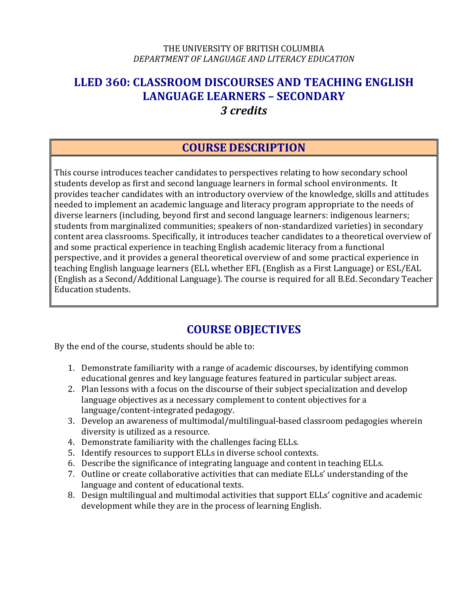#### THE UNIVERSITY OF BRITISH COLUMBIA *DEPARTMENT OF LANGUAGE AND LITERACY EDUCATION*

## **LLED 360: CLASSROOM DISCOURSES AND TEACHING ENGLISH LANGUAGE LEARNERS – SECONDARY** *3 credits*

## **COURSE DESCRIPTION**

This course introduces teacher candidates to perspectives relating to how secondary school students develop as first and second language learners in formal school environments. It provides teacher candidates with an introductory overview of the knowledge, skills and attitudes needed to implement an academic language and literacy program appropriate to the needs of diverse learners (including, beyond first and second language learners: indigenous learners; students from marginalized communities; speakers of non-standardized varieties) in secondary content area classrooms. Specifically, it introduces teacher candidates to a theoretical overview of and some practical experience in teaching English academic literacy from a functional perspective, and it provides a general theoretical overview of and some practical experience in teaching English language learners (ELL whether EFL (English as a First Language) or ESL/EAL (English as a Second/Additional Language). The course is required for all B.Ed. Secondary Teacher Education students.

# **COURSE OBJECTIVES**

By the end of the course, students should be able to:

- 1. Demonstrate familiarity with a range of academic discourses, by identifying common educational genres and key language features featured in particular subject areas.
- 2. Plan lessons with a focus on the discourse of their subject specialization and develop language objectives as a necessary complement to content objectives for a language/content-integrated pedagogy.
- 3. Develop an awareness of multimodal/multilingual-based classroom pedagogies wherein diversity is utilized as a resource.
- 4. Demonstrate familiarity with the challenges facing ELLs.
- 5. Identify resources to support ELLs in diverse school contexts.
- 6. Describe the significance of integrating language and content in teaching ELLs.
- 7. Outline or create collaborative activities that can mediate ELLs' understanding of the language and content of educational texts.
- 8. Design multilingual and multimodal activities that support ELLs' cognitive and academic development while they are in the process of learning English.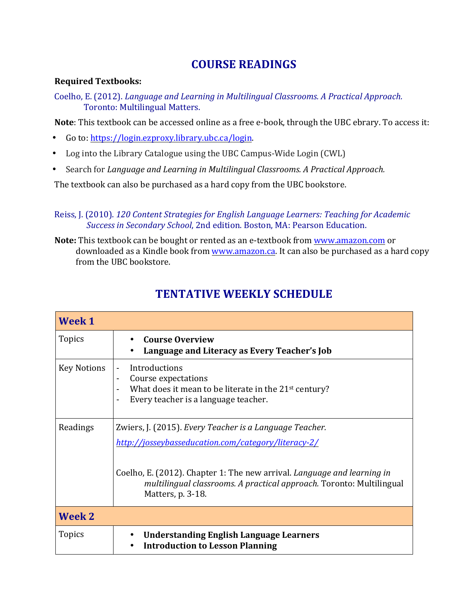# **COURSE READINGS**

#### **Required Textbooks:**

Coelho, E. (2012). *Language and Learning in Multilingual Classrooms. A Practical Approach.* Toronto: Multilingual Matters.

**Note**: This textbook can be accessed online as a free e-book, through the UBC ebrary. To access it:

- Go to: https://login.ezproxy.library.ubc.ca/login.
- Log into the Library Catalogue using the UBC Campus-Wide Login (CWL)
- Search for *Language and Learning in Multilingual Classrooms. A Practical Approach.*

The textbook can also be purchased as a hard copy from the UBC bookstore.

#### Reiss, J. (2010). *120 Content Strategies for English Language Learners: Teaching for Academic Success in Secondary School*, 2nd edition. Boston, MA: Pearson Education.

**Note:** This textbook can be bought or rented as an e-textbook from www.amazon.com or downloaded as a Kindle book from www.amazon.ca. It can also be purchased as a hard copy from the UBC bookstore.

| <b>Week 1</b>      |                                                                                                                                                                                                                                                                                        |
|--------------------|----------------------------------------------------------------------------------------------------------------------------------------------------------------------------------------------------------------------------------------------------------------------------------------|
| <b>Topics</b>      | <b>Course Overview</b><br>Language and Literacy as Every Teacher's Job                                                                                                                                                                                                                 |
| <b>Key Notions</b> | Introductions<br>$\overline{\phantom{a}}$<br>Course expectations<br>$\blacksquare$<br>What does it mean to be literate in the 21 <sup>st</sup> century?<br>Every teacher is a language teacher.                                                                                        |
| Readings           | Zwiers, J. (2015). Every Teacher is a Language Teacher.<br>http://josseybasseducation.com/category/literacy-2/<br>Coelho, E. (2012). Chapter 1: The new arrival. Language and learning in<br>multilingual classrooms. A practical approach. Toronto: Multilingual<br>Matters, p. 3-18. |
| <b>Week 2</b>      |                                                                                                                                                                                                                                                                                        |
| <b>Topics</b>      | <b>Understanding English Language Learners</b><br><b>Introduction to Lesson Planning</b>                                                                                                                                                                                               |

# **TENTATIVE WEEKLY SCHEDULE**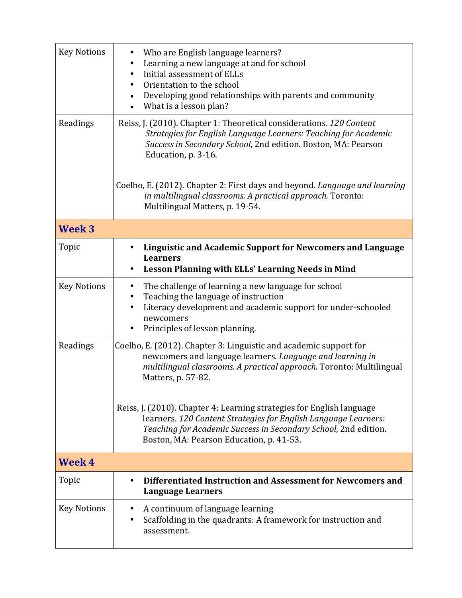| <b>Key Notions</b> | Who are English language learners?<br>Learning a new language at and for school<br>$\bullet$<br>Initial assessment of ELLs<br>٠<br>Orientation to the school<br>Developing good relationships with parents and community<br>$\bullet$<br>What is a lesson plan?<br>$\bullet$ |
|--------------------|------------------------------------------------------------------------------------------------------------------------------------------------------------------------------------------------------------------------------------------------------------------------------|
| Readings           | Reiss, J. (2010). Chapter 1: Theoretical considerations. 120 Content<br>Strategies for English Language Learners: Teaching for Academic<br>Success in Secondary School, 2nd edition. Boston, MA: Pearson<br>Education, p. 3-16.                                              |
|                    | Coelho, E. (2012). Chapter 2: First days and beyond. Language and learning<br>in multilingual classrooms. A practical approach. Toronto:<br>Multilingual Matters, p. 19-54.                                                                                                  |
| Week <sub>3</sub>  |                                                                                                                                                                                                                                                                              |
| Topic              | Linguistic and Academic Support for Newcomers and Language<br><b>Learners</b><br>Lesson Planning with ELLs' Learning Needs in Mind                                                                                                                                           |
| <b>Key Notions</b> | The challenge of learning a new language for school<br>$\bullet$<br>Teaching the language of instruction<br>٠<br>Literacy development and academic support for under-schooled<br>٠<br>newcomers<br>Principles of lesson planning.                                            |
| Readings           | Coelho, E. (2012). Chapter 3: Linguistic and academic support for<br>newcomers and language learners. Language and learning in<br>multilingual classrooms. A practical approach. Toronto: Multilingual<br>Matters, p. 57-82.                                                 |
|                    | Reiss, J. (2010). Chapter 4: Learning strategies for English language<br>learners. 120 Content Strategies for English Language Learners:<br>Teaching for Academic Success in Secondary School, 2nd edition.<br>Boston, MA: Pearson Education, p. 41-53.                      |
| <b>Week 4</b>      |                                                                                                                                                                                                                                                                              |
| Topic              | Differentiated Instruction and Assessment for Newcomers and<br>$\bullet$<br><b>Language Learners</b>                                                                                                                                                                         |
| <b>Key Notions</b> | A continuum of language learning<br>Scaffolding in the quadrants: A framework for instruction and<br>٠<br>assessment.                                                                                                                                                        |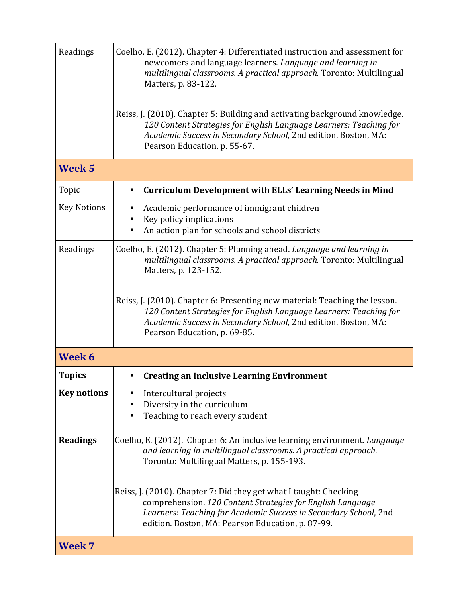| Readings           | Coelho, E. (2012). Chapter 4: Differentiated instruction and assessment for<br>newcomers and language learners. Language and learning in<br>multilingual classrooms. A practical approach. Toronto: Multilingual<br>Matters, p. 83-122.<br>Reiss, J. (2010). Chapter 5: Building and activating background knowledge.<br>120 Content Strategies for English Language Learners: Teaching for<br>Academic Success in Secondary School, 2nd edition. Boston, MA: |
|--------------------|---------------------------------------------------------------------------------------------------------------------------------------------------------------------------------------------------------------------------------------------------------------------------------------------------------------------------------------------------------------------------------------------------------------------------------------------------------------|
| Week <sub>5</sub>  | Pearson Education, p. 55-67.                                                                                                                                                                                                                                                                                                                                                                                                                                  |
|                    |                                                                                                                                                                                                                                                                                                                                                                                                                                                               |
| Topic              | <b>Curriculum Development with ELLs' Learning Needs in Mind</b><br>$\bullet$                                                                                                                                                                                                                                                                                                                                                                                  |
| <b>Key Notions</b> | Academic performance of immigrant children<br>٠                                                                                                                                                                                                                                                                                                                                                                                                               |
|                    | Key policy implications<br>An action plan for schools and school districts                                                                                                                                                                                                                                                                                                                                                                                    |
|                    |                                                                                                                                                                                                                                                                                                                                                                                                                                                               |
| Readings           | Coelho, E. (2012). Chapter 5: Planning ahead. Language and learning in<br>multilingual classrooms. A practical approach. Toronto: Multilingual<br>Matters, p. 123-152.                                                                                                                                                                                                                                                                                        |
|                    | Reiss, J. (2010). Chapter 6: Presenting new material: Teaching the lesson.<br>120 Content Strategies for English Language Learners: Teaching for<br>Academic Success in Secondary School, 2nd edition. Boston, MA:<br>Pearson Education, p. 69-85.                                                                                                                                                                                                            |
| Week 6             |                                                                                                                                                                                                                                                                                                                                                                                                                                                               |
| <b>Topics</b>      | <b>Creating an Inclusive Learning Environment</b>                                                                                                                                                                                                                                                                                                                                                                                                             |
| <b>Key notions</b> | Intercultural projects<br>Diversity in the curriculum<br>Teaching to reach every student                                                                                                                                                                                                                                                                                                                                                                      |
| <b>Readings</b>    | Coelho, E. (2012). Chapter 6: An inclusive learning environment. Language<br>and learning in multilingual classrooms. A practical approach.<br>Toronto: Multilingual Matters, p. 155-193.                                                                                                                                                                                                                                                                     |
|                    | Reiss, J. (2010). Chapter 7: Did they get what I taught: Checking<br>comprehension. 120 Content Strategies for English Language<br>Learners: Teaching for Academic Success in Secondary School, 2nd<br>edition. Boston, MA: Pearson Education, p. 87-99.                                                                                                                                                                                                      |
| Week 7             |                                                                                                                                                                                                                                                                                                                                                                                                                                                               |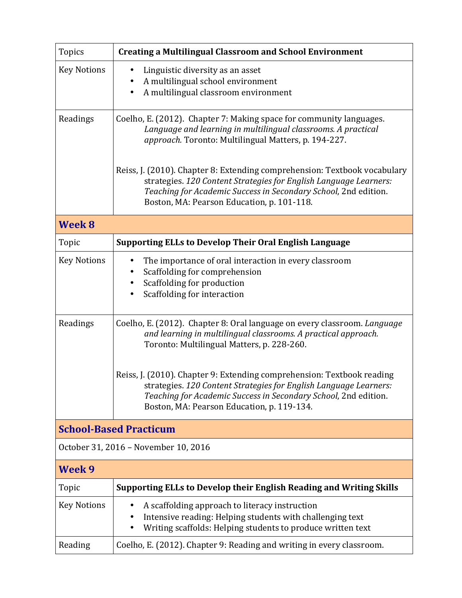| <b>Topics</b>                 | <b>Creating a Multilingual Classroom and School Environment</b>                                                                                                                                                                                                 |  |
|-------------------------------|-----------------------------------------------------------------------------------------------------------------------------------------------------------------------------------------------------------------------------------------------------------------|--|
| <b>Key Notions</b>            | Linguistic diversity as an asset<br>$\bullet$<br>A multilingual school environment<br>A multilingual classroom environment<br>$\bullet$                                                                                                                         |  |
| Readings                      | Coelho, E. (2012). Chapter 7: Making space for community languages.<br>Language and learning in multilingual classrooms. A practical<br>approach. Toronto: Multilingual Matters, p. 194-227.                                                                    |  |
|                               | Reiss, J. (2010). Chapter 8: Extending comprehension: Textbook vocabulary<br>strategies. 120 Content Strategies for English Language Learners:<br>Teaching for Academic Success in Secondary School, 2nd edition.<br>Boston, MA: Pearson Education, p. 101-118. |  |
| Week 8                        |                                                                                                                                                                                                                                                                 |  |
| Topic                         | <b>Supporting ELLs to Develop Their Oral English Language</b>                                                                                                                                                                                                   |  |
| <b>Key Notions</b>            | The importance of oral interaction in every classroom<br>٠<br>Scaffolding for comprehension<br>Scaffolding for production<br>Scaffolding for interaction<br>٠                                                                                                   |  |
| Readings                      | Coelho, E. (2012). Chapter 8: Oral language on every classroom. Language<br>and learning in multilingual classrooms. A practical approach.<br>Toronto: Multilingual Matters, p. 228-260.                                                                        |  |
|                               | Reiss, J. (2010). Chapter 9: Extending comprehension: Textbook reading<br>strategies. 120 Content Strategies for English Language Learners:<br>Teaching for Academic Success in Secondary School, 2nd edition.<br>Boston, MA: Pearson Education, p. 119-134.    |  |
| <b>School-Based Practicum</b> |                                                                                                                                                                                                                                                                 |  |
|                               | October 31, 2016 - November 10, 2016                                                                                                                                                                                                                            |  |
| Week 9                        |                                                                                                                                                                                                                                                                 |  |
| Topic                         | Supporting ELLs to Develop their English Reading and Writing Skills                                                                                                                                                                                             |  |
| <b>Key Notions</b>            | A scaffolding approach to literacy instruction<br>Intensive reading: Helping students with challenging text<br>Writing scaffolds: Helping students to produce written text                                                                                      |  |
| Reading                       | Coelho, E. (2012). Chapter 9: Reading and writing in every classroom.                                                                                                                                                                                           |  |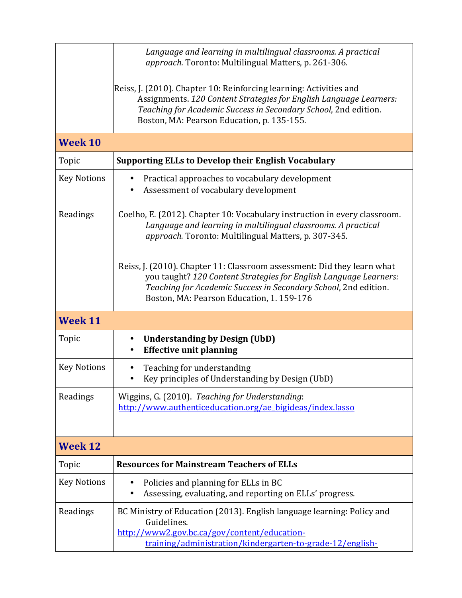|                    | Language and learning in multilingual classrooms. A practical<br>approach. Toronto: Multilingual Matters, p. 261-306.                                                                                                                                       |
|--------------------|-------------------------------------------------------------------------------------------------------------------------------------------------------------------------------------------------------------------------------------------------------------|
|                    | Reiss, J. (2010). Chapter 10: Reinforcing learning: Activities and<br>Assignments. 120 Content Strategies for English Language Learners:<br>Teaching for Academic Success in Secondary School, 2nd edition.<br>Boston, MA: Pearson Education, p. 135-155.   |
| Week 10            |                                                                                                                                                                                                                                                             |
| Topic              | <b>Supporting ELLs to Develop their English Vocabulary</b>                                                                                                                                                                                                  |
| <b>Key Notions</b> | Practical approaches to vocabulary development<br>Assessment of vocabulary development                                                                                                                                                                      |
| Readings           | Coelho, E. (2012). Chapter 10: Vocabulary instruction in every classroom.<br>Language and learning in multilingual classrooms. A practical<br>approach. Toronto: Multilingual Matters, p. 307-345.                                                          |
|                    | Reiss, J. (2010). Chapter 11: Classroom assessment: Did they learn what<br>you taught? 120 Content Strategies for English Language Learners:<br>Teaching for Academic Success in Secondary School, 2nd edition.<br>Boston, MA: Pearson Education, 1.159-176 |
| <b>Week 11</b>     |                                                                                                                                                                                                                                                             |
| Topic              | <b>Understanding by Design (UbD)</b><br>$\bullet$<br><b>Effective unit planning</b>                                                                                                                                                                         |
| <b>Key Notions</b> | Teaching for understanding<br>Key principles of Understanding by Design (UbD)                                                                                                                                                                               |
| Readings           | Wiggins, G. (2010). Teaching for Understanding:<br>http://www.authenticeducation.org/ae_bigideas/index.lasso                                                                                                                                                |
| <b>Week 12</b>     |                                                                                                                                                                                                                                                             |
| Topic              | <b>Resources for Mainstream Teachers of ELLs</b>                                                                                                                                                                                                            |
| <b>Key Notions</b> | Policies and planning for ELLs in BC<br>٠<br>Assessing, evaluating, and reporting on ELLs' progress.                                                                                                                                                        |
| Readings           | BC Ministry of Education (2013). English language learning: Policy and<br>Guidelines.<br>http://www2.gov.bc.ca/gov/content/education-<br>training/administration/kindergarten-to-grade-12/english-                                                          |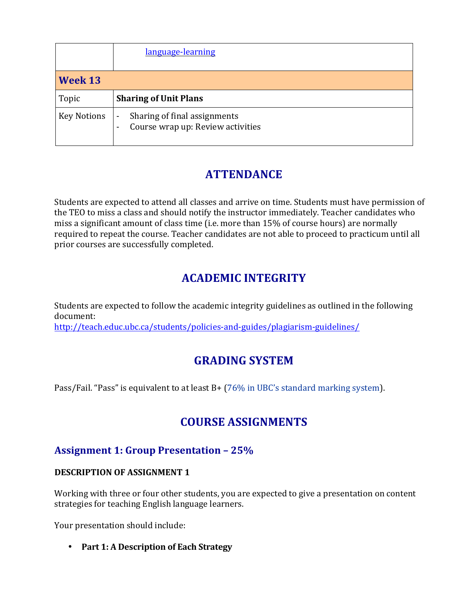|                    | language-learning                                                                             |
|--------------------|-----------------------------------------------------------------------------------------------|
| Week 13            |                                                                                               |
| Topic              | <b>Sharing of Unit Plans</b>                                                                  |
| <b>Key Notions</b> | Sharing of final assignments<br>$\overline{\phantom{a}}$<br>Course wrap up: Review activities |

# **ATTENDANCE**

Students are expected to attend all classes and arrive on time. Students must have permission of the TEO to miss a class and should notify the instructor immediately. Teacher candidates who miss a significant amount of class time (i.e. more than 15% of course hours) are normally required to repeat the course. Teacher candidates are not able to proceed to practicum until all prior courses are successfully completed.

# **ACADEMIC INTEGRITY**

Students are expected to follow the academic integrity guidelines as outlined in the following document: http://teach.educ.ubc.ca/students/policies-and-guides/plagiarism-guidelines/

# **GRADING SYSTEM**

Pass/Fail. "Pass" is equivalent to at least  $B + (76\% \text{ in } UBC$ 's standard marking system).

# **COURSE ASSIGNMENTS**

## **Assignment 1: Group Presentation – 25%**

#### **DESCRIPTION OF ASSIGNMENT 1**

Working with three or four other students, you are expected to give a presentation on content strategies for teaching English language learners.

Your presentation should include:

• Part 1: A Description of Each Strategy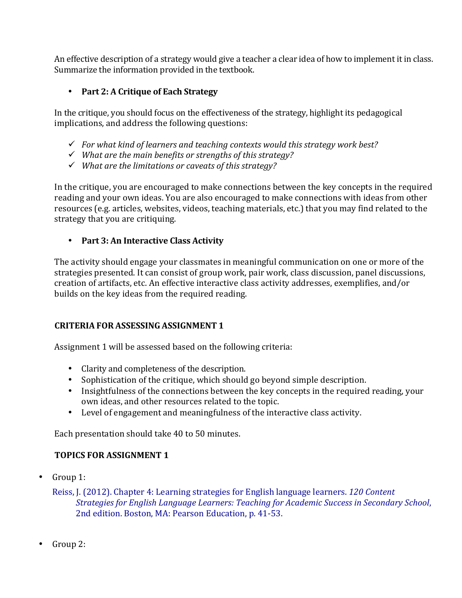An effective description of a strategy would give a teacher a clear idea of how to implement it in class. Summarize the information provided in the textbook.

### • **Part 2: A Critique of Each Strategy**

In the critique, you should focus on the effectiveness of the strategy, highlight its pedagogical implications, and address the following questions:

- $\checkmark$  For what kind of learners and teaching contexts would this strategy work best?
- $\checkmark$  What are the main benefits or strengths of this strategy?
- ü *What are the limitations or caveats of this strategy?*

In the critique, you are encouraged to make connections between the key concepts in the required reading and your own ideas. You are also encouraged to make connections with ideas from other resources (e.g. articles, websites, videos, teaching materials, etc.) that you may find related to the strategy that you are critiquing.

#### • Part 3: An Interactive Class Activity

The activity should engage your classmates in meaningful communication on one or more of the strategies presented. It can consist of group work, pair work, class discussion, panel discussions, creation of artifacts, etc. An effective interactive class activity addresses, exemplifies, and/or builds on the key ideas from the required reading.

#### **CRITERIA FOR ASSESSING ASSIGNMENT 1**

Assignment 1 will be assessed based on the following criteria:

- Clarity and completeness of the description.
- Sophistication of the critique, which should go beyond simple description.
- Insightfulness of the connections between the key concepts in the required reading, your own ideas, and other resources related to the topic.
- Level of engagement and meaningfulness of the interactive class activity.

Each presentation should take 40 to 50 minutes.

### **TOPICS FOR ASSIGNMENT 1**

• Group 1:

Reiss, J. (2012). Chapter 4: Learning strategies for English language learners. *120 Content Strategies for English Language Learners: Teaching for Academic Success in Secondary School*, 2nd edition. Boston, MA: Pearson Education, p. 41-53.

• Group 2: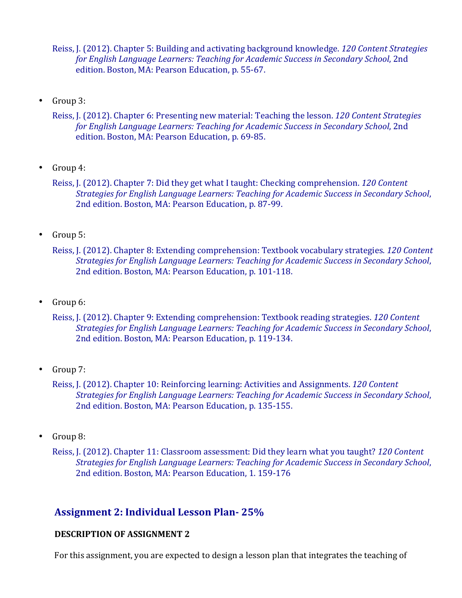Reiss, J. (2012). Chapter 5: Building and activating background knowledge. *120 Content Strategies for English Language Learners: Teaching for Academic Success in Secondary School*, 2nd edition. Boston, MA: Pearson Education, p. 55-67.

• Group 3:

Reiss, J. (2012). Chapter 6: Presenting new material: Teaching the lesson. *120 Content Strategies for English Language Learners: Teaching for Academic Success in Secondary School*, 2nd edition. Boston, MA: Pearson Education, p. 69-85.

• Group 4:

Reiss, J. (2012). Chapter 7: Did they get what I taught: Checking comprehension. *120 Content Strategies for English Language Learners: Teaching for Academic Success in Secondary School*, 2nd edition. Boston, MA: Pearson Education, p. 87-99.

• Group 5:

Reiss, J. (2012). Chapter 8: Extending comprehension: Textbook vocabulary strategies. *120 Content Strategies for English Language Learners: Teaching for Academic Success in Secondary School*, 2nd edition. Boston, MA: Pearson Education, p. 101-118.

• Group 6:

Reiss, J. (2012). Chapter 9: Extending comprehension: Textbook reading strategies. *120 Content Strategies for English Language Learners: Teaching for Academic Success in Secondary School*, 2nd edition. Boston, MA: Pearson Education, p. 119-134.

• Group 7:

Reiss, J. (2012). Chapter 10: Reinforcing learning: Activities and Assignments. *120 Content Strategies for English Language Learners: Teaching for Academic Success in Secondary School*, 2nd edition. Boston, MA: Pearson Education, p. 135-155.

• Group 8:

Reiss, J. (2012). Chapter 11: Classroom assessment: Did they learn what you taught? *120 Content Strategies for English Language Learners: Teaching for Academic Success in Secondary School*, 2nd edition. Boston, MA: Pearson Education, 1. 159-176

### **Assignment 2: Individual Lesson Plan- 25%**

#### **DESCRIPTION OF ASSIGNMENT 2**

For this assignment, you are expected to design a lesson plan that integrates the teaching of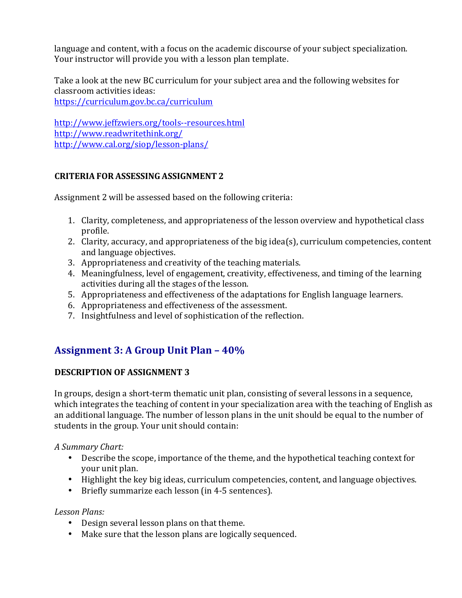language and content, with a focus on the academic discourse of your subject specialization. Your instructor will provide you with a lesson plan template.

Take a look at the new BC curriculum for your subject area and the following websites for classroom activities ideas:

https://curriculum.gov.bc.ca/curriculum

http://www.jeffzwiers.org/tools--resources.html http://www.readwritethink.org/ http://www.cal.org/siop/lesson-plans/

#### **CRITERIA FOR ASSESSING ASSIGNMENT 2**

Assignment 2 will be assessed based on the following criteria:

- 1. Clarity, completeness, and appropriateness of the lesson overview and hypothetical class profile.
- 2. Clarity, accuracy, and appropriateness of the big idea(s), curriculum competencies, content and language objectives.
- 3. Appropriateness and creativity of the teaching materials.
- 4. Meaningfulness, level of engagement, creativity, effectiveness, and timing of the learning activities during all the stages of the lesson.
- 5. Appropriateness and effectiveness of the adaptations for English language learners.
- 6. Appropriateness and effectiveness of the assessment.
- 7. Insightfulness and level of sophistication of the reflection.

# **Assignment 3: A Group Unit Plan – 40%**

### **DESCRIPTION OF ASSIGNMENT 3**

In groups, design a short-term thematic unit plan, consisting of several lessons in a sequence, which integrates the teaching of content in your specialization area with the teaching of English as an additional language. The number of lesson plans in the unit should be equal to the number of students in the group. Your unit should contain:

*A Summary Chart:*

- Describe the scope, importance of the theme, and the hypothetical teaching context for your unit plan.
- Highlight the key big ideas, curriculum competencies, content, and language objectives.
- Briefly summarize each lesson (in 4-5 sentences).

#### *Lesson Plans:*

- Design several lesson plans on that theme.
- Make sure that the lesson plans are logically sequenced.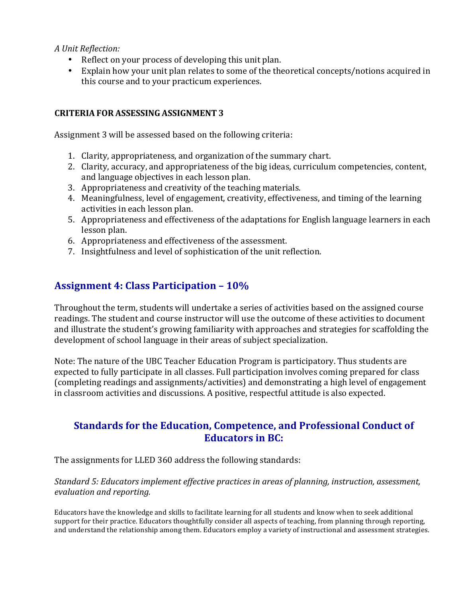*A Unit Reflection:*

- Reflect on your process of developing this unit plan.
- Explain how your unit plan relates to some of the theoretical concepts/notions acquired in this course and to your practicum experiences.

#### **CRITERIA FOR ASSESSING ASSIGNMENT 3**

Assignment 3 will be assessed based on the following criteria:

- 1. Clarity, appropriateness, and organization of the summary chart.
- 2. Clarity, accuracy, and appropriateness of the big ideas, curriculum competencies, content, and language objectives in each lesson plan.
- 3. Appropriateness and creativity of the teaching materials.
- 4. Meaningfulness, level of engagement, creativity, effectiveness, and timing of the learning activities in each lesson plan.
- 5. Appropriateness and effectiveness of the adaptations for English language learners in each lesson plan.
- 6. Appropriateness and effectiveness of the assessment.
- 7. Insightfulness and level of sophistication of the unit reflection.

## **Assignment 4: Class Participation – 10%**

Throughout the term, students will undertake a series of activities based on the assigned course readings. The student and course instructor will use the outcome of these activities to document and illustrate the student's growing familiarity with approaches and strategies for scaffolding the development of school language in their areas of subject specialization.

Note: The nature of the UBC Teacher Education Program is participatory. Thus students are expected to fully participate in all classes. Full participation involves coming prepared for class (completing readings and assignments/activities) and demonstrating a high level of engagement in classroom activities and discussions. A positive, respectful attitude is also expected.

### **Standards for the Education, Competence, and Professional Conduct of Educators in BC:**

The assignments for LLED 360 address the following standards:

#### *Standard 5: Educators implement effective practices in areas of planning, instruction, assessment, evaluation and reporting.*

Educators have the knowledge and skills to facilitate learning for all students and know when to seek additional support for their practice. Educators thoughtfully consider all aspects of teaching, from planning through reporting, and understand the relationship among them. Educators employ a variety of instructional and assessment strategies.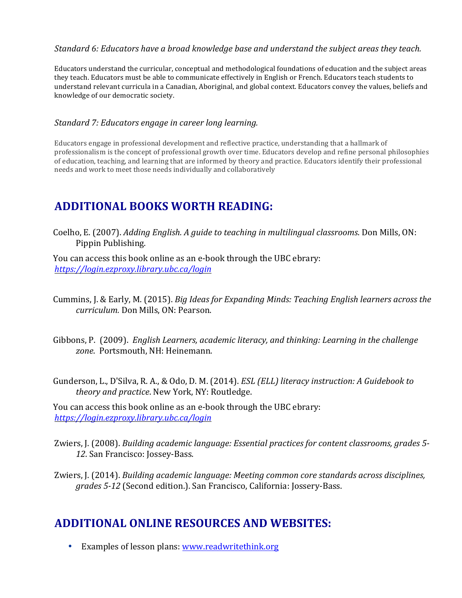#### *Standard* 6: Educators have a broad knowledge base and understand the subject areas they teach.

Educators understand the curricular, conceptual and methodological foundations of education and the subject areas they teach. Educators must be able to communicate effectively in English or French. Educators teach students to understand relevant curricula in a Canadian, Aboriginal, and global context. Educators convey the values, beliefs and knowledge of our democratic society.

#### *Standard 7: Educators engage in career long learning.*

Educators engage in professional development and reflective practice, understanding that a hallmark of professionalism is the concept of professional growth over time. Educators develop and refine personal philosophies of education, teaching, and learning that are informed by theory and practice. Educators identify their professional needs and work to meet those needs individually and collaboratively

## **ADDITIONAL BOOKS WORTH READING:**

Coelho, E. (2007). *Adding English. A guide to teaching in multilingual classrooms*. Don Mills, ON: Pippin Publishing.

You can access this book online as an e-book through the UBC ebrary: *https://login.ezproxy.library.ubc.ca/login*

- Cummins, J. & Early, M. (2015). *Big Ideas for Expanding Minds: Teaching English learners across the curriculum.* Don Mills, ON: Pearson.
- Gibbons, P. (2009). *English Learners, academic literacy, and thinking: Learning in the challenge* zone. Portsmouth, NH: Heinemann.
- Gunderson, L., D'Silva, R. A., & Odo, D. M. (2014). *ESL (ELL) literacy instruction: A Guidebook to theory and practice*. New York, NY: Routledge.

You can access this book online as an e-book through the UBC ebrary: *https://login.ezproxy.library.ubc.ca/login*

- Zwiers, J. (2008). *Building academic language: Essential practices for content classrooms, grades 5-*12. San Francisco: Jossey-Bass.
- Zwiers, J. (2014). *Building academic language: Meeting common core standards across disciplines, grades* 5-12 (Second edition.). San Francisco, California: Jossery-Bass.

### **ADDITIONAL ONLINE RESOURCES AND WEBSITES:**

• Examples of lesson plans: www.readwritethink.org